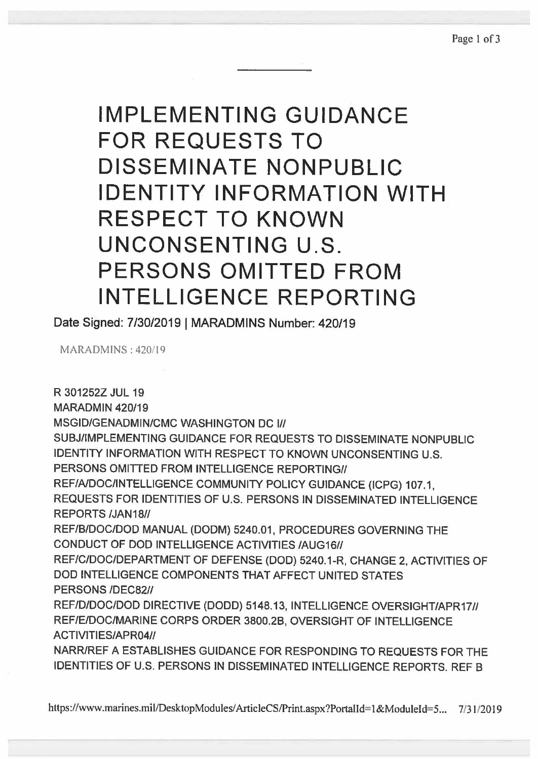**IMPLEMENTING GUIDANCE FOR REQUESTS TO DISSEMINATE NONPUBLIC IDENTITY INFORMATION WITH RESPECT TO KNOWN UNCONSENTING U.S. PERSONS OMITTED FROM INTELLIGENCE REPORTING** 

Date Signed: 7/30/2019 I MARADMINS Number: 420/19

MARADMINS: 420/19

R 301252Z JUL 19 MARADMIN 420/19 MSGID/GENADMIN/CMC WASHINGTON DC I// SUBJ/IMPLEMENTING GUIDANCE FOR REQUESTS TO DISSEMINATE NONPUBLIC IDENTITY INFORMATION WITH RESPECT TO KNOWN UNCONSENTING U.S. PERSONS OMITTED FROM INTELLIGENCE REPORTING// REF/NDOC/INTELLIGENCE COMMUNITY POLICY GUIDANCE (ICPG) 107.1, REQUESTS FOR IDENTITIES OF U.S. PERSONS IN DISSEMINATED INTELLIGENCE REPORTS /JAN18// REF/B/DOC/DOD MANUAL (DOOM) 5240.01, PROCEDURES GOVERNING THE CONDUCT OF DOD INTELLIGENCE ACTIVITIES /AUG16// REF/C/DOC/DEPARTMENT OF DEFENSE (DOD) 5240.1-R, CHANGE 2, ACTIVITIES OF DOD INTELLIGENCE COMPONENTS THAT AFFECT UNITED STATES PERSONS /DEC82// REF/D/DOC/DOD DIRECTIVE (DODD) 5148.13, INTELLIGENCE OVERSIGHT/APR17// REF/E/DOC/MARINE CORPS ORDER 3800.28, OVERSIGHT OF INTELLIGENCE ACTIVITIES/APR04// NARR/REF A ESTABLISHES GUIDANCE FOR RESPONDING TO REQUESTS FOR THE IDENTITIES OF U.S. PERSONS IN DISSEMINATED INTELLIGENCE REPORTS. REF B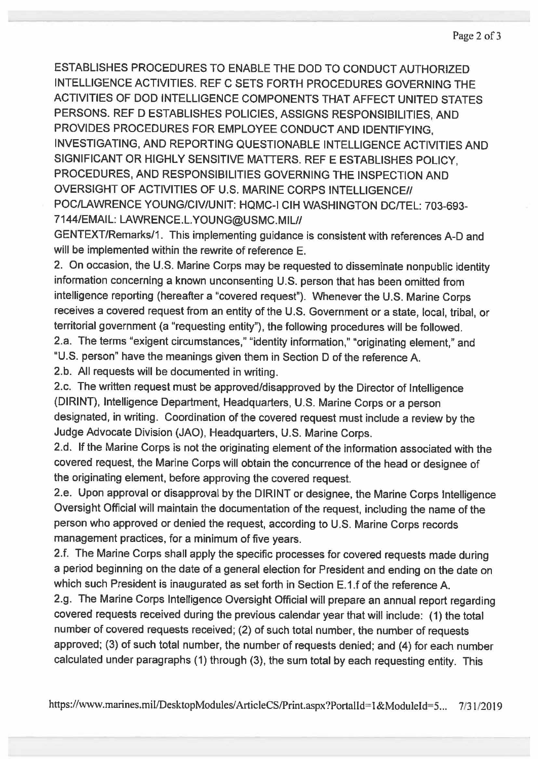Page 2 of 3

ESTABLISHES PROCEDURES TO ENABLE THE DOD TO CONDUCT AUTHORIZED INTELLIGENCE ACTIVITIES. REF C SETS FORTH PROCEDURES GOVERNING THE ACTIVITIES OF DOD INTELLIGENCE COMPONENTS THAT AFFECT UNITED STATES PERSONS. REF D ESTABLISHES POLICIES, ASSIGNS RESPONSIBILITIES, AND PROVIDES PROCEDURES FOR EMPLOYEE CONDUCT AND IDENTIFYING, INVESTIGATING, AND REPORTING QUESTIONABLE INTELLIGENCE ACTIVITIES AND SIGNIFICANT OR HIGHLY SENSITIVE MATTERS. REF E ESTABLISHES POLICY, PROCEDURES, AND RESPONSIBILITIES GOVERNING THE INSPECTION AND OVERSIGHT OF ACTIVITIES OF U.S. MARINE CORPS INTELLIGENCE// POC/LAWRENCE YOUNG/CIV/UNIT: HQMC-I CIH WASHINGTON DC/TEL: 703-693- 7144/EMAIL: LAWRENCE.L.YOUNG@USMC.MIU/

GENTEXT/Remarks/1. This implementing guidance is consistent with references A-0 and will be implemented within the rewrite of reference E.

2. On occasion, the U.S. Marine Corps may be requested to disseminate nonpublic identity information concerning a known unconsenting U.S. person that has been omitted from intelligence reporting (hereafter a "covered request"). Whenever the U.S. Marine Corps receives a covered request from an entity of the U.S. Government or a state, local, tribal, or territorial government (a "requesting entity"), the following procedures will be followed. 2.a. The terms "exigent circumstances," "identity information," "originating element," and

"U.S. person" have the meanings given them in Section D of the reference A.

2.b. All requests will be documented in writing.

2.c. The written request must be approved/disapproved by the Director of Intelligence (DIRINT), Intelligence Department, Headquarters, U.S. Marine Corps or a person designated, in writing. Coordination of the covered request must include a review by the Judge Advocate Division (JAO), Headquarters, U.S. Marine Corps.

2.d. If the Marine Corps is not the originating element of the information associated with the covered request, the Marine Corps will obtain the concurrence of the head or designee of the originating element, before approving the covered request.

2.e. Upon approval or disapproval by the DIRINT or designee, the Marine Corps Intelligence Oversight Official will maintain the documentation of the request, including the name of the person who approved or denied the request, according to U.S. Marine Corps records management practices, for a minimum of five years.

2.f. The Marine Corps shall apply the specific processes for covered requests made during a period beginning on the date of a general election for President and ending on the date on which such President is inaugurated as set forth in Section E.1.f of the reference A

2.g. The Marine Corps Intelligence Oversight Official will prepare an annual report regarding covered requests received during the previous calendar year that will include: (1) the total number of covered requests received; (2) of such total number, the number of requests approved; (3) of such total number, the number of requests denied; and (4) for each number calculated under paragraphs (1) through (3), the sum total by each requesting entity. This